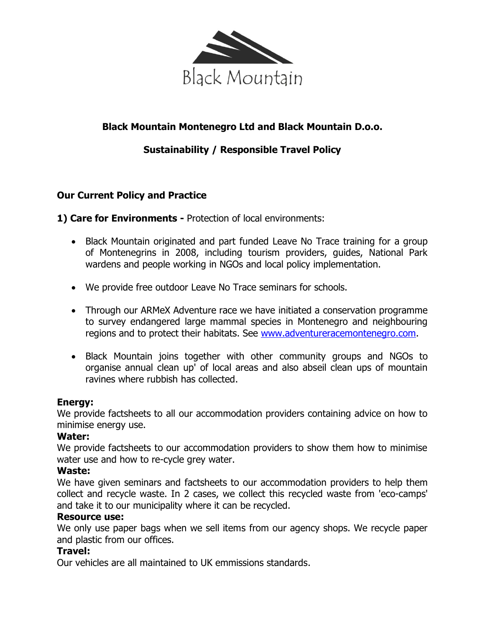

# **Black Mountain Montenegro Ltd and Black Mountain D.o.o.**

# **Sustainability / Responsible Travel Policy**

# **Our Current Policy and Practice**

**1) Care for Environments -** Protection of local environments:

- Black Mountain originated and part funded Leave No Trace training for a group of Montenegrins in 2008, including tourism providers, guides, National Park wardens and people working in NGOs and local policy implementation.
- We provide free outdoor Leave No Trace seminars for schools.
- Through our ARMeX Adventure race we have initiated a conservation programme to survey endangered large mammal species in Montenegro and neighbouring regions and to protect their habitats. See [www.adventureracemontenegro.com.](http://www.adventureracemontenegro.com/)
- Black Mountain joins together with other community groups and NGOs to organise annual clean up' of local areas and also abseil clean ups of mountain ravines where rubbish has collected.

#### **Energy:**

We provide factsheets to all our accommodation providers containing advice on how to minimise energy use.

#### **Water:**

We provide factsheets to our accommodation providers to show them how to minimise water use and how to re-cycle grey water.

#### **Waste:**

We have given seminars and factsheets to our accommodation providers to help them collect and recycle waste. In 2 cases, we collect this recycled waste from 'eco-camps' and take it to our municipality where it can be recycled.

#### **Resource use:**

We only use paper bags when we sell items from our agency shops. We recycle paper and plastic from our offices.

#### **Travel:**

Our vehicles are all maintained to UK emmissions standards.